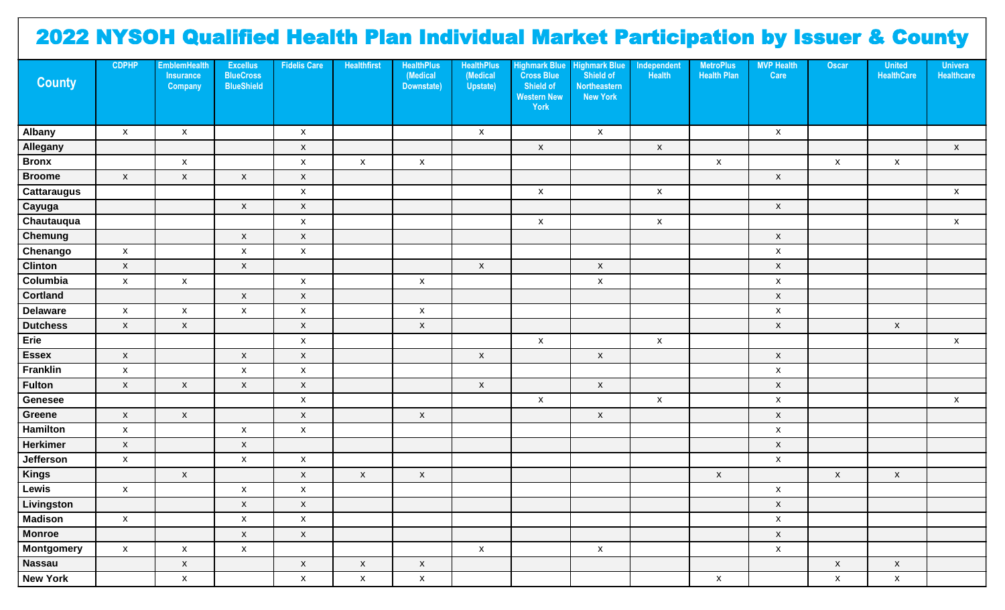## 2022 NYSOH Qualified Health Plan Individual Market Participation by Issuer & County

| <b>County</b>      | <b>CDPHP</b>              | <b>EmblemHealth</b><br><b>Insurance</b><br>Company | <b>Excellus</b><br><b>BlueCross</b><br><b>BlueShield</b> | <b>Fidelis Care</b> | <b>Healthfirst</b> | <b>HealthPlus</b><br>(Medical<br>Downstate) | <b>HealthPlus</b><br>(Medical<br>Upstate) | <b>Highmark Blue</b><br><b>Cross Blue</b><br>Shield of<br><b>Western New</b><br>York | <b>Highmark Blue</b><br>Shield of<br><b>Northeastern</b><br><b>New York</b> | Independent<br><b>Health</b> | <b>MetroPlus</b><br><b>Health Plan</b> | <b>MVP Health</b><br>Care | Oscar                     | <b>United</b><br><b>HealthCare</b> | <b>Univera</b><br>Healthcare |
|--------------------|---------------------------|----------------------------------------------------|----------------------------------------------------------|---------------------|--------------------|---------------------------------------------|-------------------------------------------|--------------------------------------------------------------------------------------|-----------------------------------------------------------------------------|------------------------------|----------------------------------------|---------------------------|---------------------------|------------------------------------|------------------------------|
| Albany             | $\boldsymbol{\mathsf{X}}$ | $\boldsymbol{\mathsf{X}}$                          |                                                          | X                   |                    |                                             | $\boldsymbol{\mathsf{X}}$                 |                                                                                      | $\mathsf{x}$                                                                |                              |                                        | $\pmb{\mathsf{X}}$        |                           |                                    |                              |
| Allegany           |                           |                                                    |                                                          | $\mathsf{x}$        |                    |                                             |                                           | $\boldsymbol{\mathsf{X}}$                                                            |                                                                             | $\mathsf X$                  |                                        |                           |                           |                                    | $\boldsymbol{\mathsf{X}}$    |
| <b>Bronx</b>       |                           | $\boldsymbol{\mathsf{X}}$                          |                                                          | X                   | $\mathsf{X}$       | $\mathsf X$                                 |                                           |                                                                                      |                                                                             |                              | $\mathsf X$                            |                           | $\pmb{\mathsf{X}}$        | $\pmb{\mathsf{X}}$                 |                              |
| <b>Broome</b>      | $\mathsf X$               | $\mathsf X$                                        | $\mathsf{x}$                                             | $\pmb{\mathsf{X}}$  |                    |                                             |                                           |                                                                                      |                                                                             |                              |                                        | $\pmb{\mathsf{X}}$        |                           |                                    |                              |
| <b>Cattaraugus</b> |                           |                                                    |                                                          | $\pmb{\mathsf{X}}$  |                    |                                             |                                           | $\mathsf X$                                                                          |                                                                             | $\mathsf X$                  |                                        |                           |                           |                                    | $\pmb{\mathsf{X}}$           |
| Cayuga             |                           |                                                    | $\pmb{\mathsf{X}}$                                       | $\pmb{\mathsf{X}}$  |                    |                                             |                                           |                                                                                      |                                                                             |                              |                                        | $\pmb{\mathsf{X}}$        |                           |                                    |                              |
| Chautauqua         |                           |                                                    |                                                          | $\pmb{\mathsf{X}}$  |                    |                                             |                                           | $\pmb{\mathsf{X}}$                                                                   |                                                                             | $\mathsf X$                  |                                        |                           |                           |                                    | $\pmb{\mathsf{X}}$           |
| <b>Chemung</b>     |                           |                                                    | $\mathsf{x}$                                             | $\mathsf X$         |                    |                                             |                                           |                                                                                      |                                                                             |                              |                                        | $\boldsymbol{\mathsf{X}}$ |                           |                                    |                              |
| Chenango           | $\mathsf X$               |                                                    | $\pmb{\mathsf{X}}$                                       | $\mathsf X$         |                    |                                             |                                           |                                                                                      |                                                                             |                              |                                        | $\pmb{\mathsf{x}}$        |                           |                                    |                              |
| <b>Clinton</b>     | $\mathsf X$               |                                                    | $\pmb{\mathsf{X}}$                                       |                     |                    |                                             | $\pmb{\mathsf{X}}$                        |                                                                                      | $\mathsf{x}$                                                                |                              |                                        | $\pmb{\mathsf{X}}$        |                           |                                    |                              |
| Columbia           | $\mathsf X$               | $\mathsf X$                                        |                                                          | X                   |                    | $\boldsymbol{\mathsf{X}}$                   |                                           |                                                                                      | X                                                                           |                              |                                        | $\pmb{\mathsf{X}}$        |                           |                                    |                              |
| <b>Cortland</b>    |                           |                                                    | $\mathsf{x}$                                             | $\mathsf{x}$        |                    |                                             |                                           |                                                                                      |                                                                             |                              |                                        | $\pmb{\mathsf{X}}$        |                           |                                    |                              |
| <b>Delaware</b>    | $\mathsf X$               | $\mathsf X$                                        | $\pmb{\mathsf{X}}$                                       | X                   |                    | $\boldsymbol{\mathsf{X}}$                   |                                           |                                                                                      |                                                                             |                              |                                        | $\pmb{\mathsf{X}}$        |                           |                                    |                              |
| <b>Dutchess</b>    | $\mathsf X$               | $\mathsf X$                                        |                                                          | $\mathsf{x}$        |                    | $\mathsf X$                                 |                                           |                                                                                      |                                                                             |                              |                                        | $\pmb{\mathsf{X}}$        |                           | $\pmb{\mathsf{X}}$                 |                              |
| Erie               |                           |                                                    |                                                          | X                   |                    |                                             |                                           | $\mathsf X$                                                                          |                                                                             | $\mathsf X$                  |                                        |                           |                           |                                    | $\mathsf{X}$                 |
| <b>Essex</b>       | $\mathsf X$               |                                                    | $\boldsymbol{\mathsf{X}}$                                | $\mathsf{x}$        |                    |                                             | $\pmb{\mathsf{X}}$                        |                                                                                      | $\mathsf{x}$                                                                |                              |                                        | $\pmb{\mathsf{X}}$        |                           |                                    |                              |
| Franklin           | $\mathsf X$               |                                                    | $\pmb{\mathsf{X}}$                                       | $\pmb{\mathsf{X}}$  |                    |                                             |                                           |                                                                                      |                                                                             |                              |                                        | $\pmb{\mathsf{X}}$        |                           |                                    |                              |
| <b>Fulton</b>      | $\mathsf X$               | $\boldsymbol{\mathsf{X}}$                          | $\pmb{\mathsf{X}}$                                       | $\mathsf X$         |                    |                                             | $\pmb{\mathsf{X}}$                        |                                                                                      | $\mathsf{x}$                                                                |                              |                                        | $\pmb{\mathsf{X}}$        |                           |                                    |                              |
| <b>Genesee</b>     |                           |                                                    |                                                          | $\pmb{\mathsf{X}}$  |                    |                                             |                                           | $\pmb{\mathsf{X}}$                                                                   |                                                                             | $\pmb{\mathsf{X}}$           |                                        | $\pmb{\mathsf{X}}$        |                           |                                    | $\mathsf{x}$                 |
| Greene             | $\mathsf X$               | $\mathsf X$                                        |                                                          | $\mathsf X$         |                    | $\mathsf{x}$                                |                                           |                                                                                      | $\mathsf{x}$                                                                |                              |                                        | $\boldsymbol{\mathsf{X}}$ |                           |                                    |                              |
| Hamilton           | $\mathsf X$               |                                                    | $\pmb{\mathsf{X}}$                                       | $\mathsf X$         |                    |                                             |                                           |                                                                                      |                                                                             |                              |                                        | $\pmb{\mathsf{X}}$        |                           |                                    |                              |
| <b>Herkimer</b>    | $\mathsf X$               |                                                    | $\pmb{\mathsf{X}}$                                       |                     |                    |                                             |                                           |                                                                                      |                                                                             |                              |                                        | $\pmb{\mathsf{X}}$        |                           |                                    |                              |
| Jefferson          | $\mathsf X$               |                                                    | $\pmb{\mathsf{X}}$                                       | $\mathsf X$         |                    |                                             |                                           |                                                                                      |                                                                             |                              |                                        | $\pmb{\mathsf{X}}$        |                           |                                    |                              |
| <b>Kings</b>       |                           | $\boldsymbol{\mathsf{X}}$                          |                                                          | $\mathsf X$         | $\mathsf{X}$       | $\mathsf X$                                 |                                           |                                                                                      |                                                                             |                              | $\mathsf{X}$                           |                           | $\boldsymbol{\mathsf{X}}$ | $\mathsf X$                        |                              |
| Lewis              | $\mathsf X$               |                                                    | $\pmb{\mathsf{X}}$                                       | $\mathsf X$         |                    |                                             |                                           |                                                                                      |                                                                             |                              |                                        | $\mathsf X$               |                           |                                    |                              |
| Livingston         |                           |                                                    | $\mathsf{x}$                                             | $\mathsf{X}$        |                    |                                             |                                           |                                                                                      |                                                                             |                              |                                        | $\mathsf{x}$              |                           |                                    |                              |
| <b>Madison</b>     | $\mathsf X$               |                                                    | $\mathsf X$                                              | $\mathsf X$         |                    |                                             |                                           |                                                                                      |                                                                             |                              |                                        | $\pmb{\mathsf{X}}$        |                           |                                    |                              |
| <b>Monroe</b>      |                           |                                                    | $\mathsf X$                                              | $\mathsf X$         |                    |                                             |                                           |                                                                                      |                                                                             |                              |                                        | $\boldsymbol{\mathsf{X}}$ |                           |                                    |                              |
| <b>Montgomery</b>  | $\mathsf X$               | $\pmb{\mathsf{X}}$                                 | $\mathsf X$                                              |                     |                    |                                             | $\pmb{\mathsf{X}}$                        |                                                                                      | $\mathsf{x}$                                                                |                              |                                        | $\pmb{\mathsf{X}}$        |                           |                                    |                              |
| <b>Nassau</b>      |                           | $\mathsf X$                                        |                                                          | $\mathsf X$         | $\mathsf X$        | $\mathsf X$                                 |                                           |                                                                                      |                                                                             |                              |                                        |                           | $\mathsf X$               | $\mathsf{x}$                       |                              |
| <b>New York</b>    |                           | $\mathsf X$                                        |                                                          | $\mathsf{X}^-$      | $\mathsf X$        | $\mathsf X$                                 |                                           |                                                                                      |                                                                             |                              | $\mathsf X$                            |                           | $\mathsf X$               | $\mathsf{x}$                       |                              |